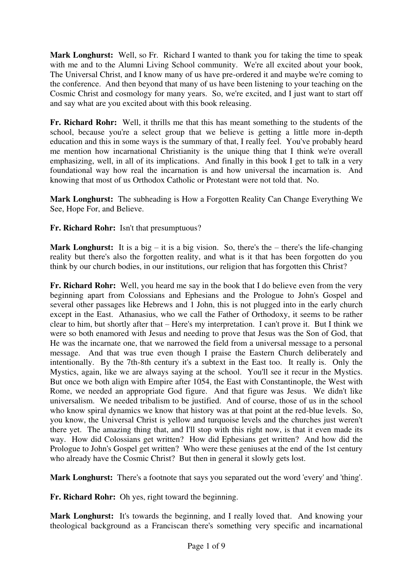**Mark Longhurst:** Well, so Fr. Richard I wanted to thank you for taking the time to speak with me and to the Alumni Living School community. We're all excited about your book, The Universal Christ, and I know many of us have pre-ordered it and maybe we're coming to the conference. And then beyond that many of us have been listening to your teaching on the Cosmic Christ and cosmology for many years. So, we're excited, and I just want to start off and say what are you excited about with this book releasing.

**Fr. Richard Rohr:** Well, it thrills me that this has meant something to the students of the school, because you're a select group that we believe is getting a little more in-depth education and this in some ways is the summary of that, I really feel. You've probably heard me mention how incarnational Christianity is the unique thing that I think we're overall emphasizing, well, in all of its implications. And finally in this book I get to talk in a very foundational way how real the incarnation is and how universal the incarnation is. And knowing that most of us Orthodox Catholic or Protestant were not told that. No.

**Mark Longhurst:** The subheading is How a Forgotten Reality Can Change Everything We See, Hope For, and Believe.

# **Fr. Richard Rohr:** Isn't that presumptuous?

**Mark Longhurst:** It is a big – it is a big vision. So, there's the – there's the life-changing reality but there's also the forgotten reality, and what is it that has been forgotten do you think by our church bodies, in our institutions, our religion that has forgotten this Christ?

**Fr. Richard Rohr:** Well, you heard me say in the book that I do believe even from the very beginning apart from Colossians and Ephesians and the Prologue to John's Gospel and several other passages like Hebrews and 1 John, this is not plugged into in the early church except in the East. Athanasius, who we call the Father of Orthodoxy, it seems to be rather clear to him, but shortly after that – Here's my interpretation. I can't prove it. But I think we were so both enamored with Jesus and needing to prove that Jesus was the Son of God, that He was the incarnate one, that we narrowed the field from a universal message to a personal message. And that was true even though I praise the Eastern Church deliberately and intentionally. By the 7th-8th century it's a subtext in the East too. It really is. Only the Mystics, again, like we are always saying at the school. You'll see it recur in the Mystics. But once we both align with Empire after 1054, the East with Constantinople, the West with Rome, we needed an appropriate God figure. And that figure was Jesus. We didn't like universalism. We needed tribalism to be justified. And of course, those of us in the school who know spiral dynamics we know that history was at that point at the red-blue levels. So, you know, the Universal Christ is yellow and turquoise levels and the churches just weren't there yet. The amazing thing that, and I'll stop with this right now, is that it even made its way. How did Colossians get written? How did Ephesians get written? And how did the Prologue to John's Gospel get written? Who were these geniuses at the end of the 1st century who already have the Cosmic Christ? But then in general it slowly gets lost.

**Mark Longhurst:** There's a footnote that says you separated out the word 'every' and 'thing'.

**Fr. Richard Rohr:** Oh yes, right toward the beginning.

Mark Longhurst: It's towards the beginning, and I really loved that. And knowing your theological background as a Franciscan there's something very specific and incarnational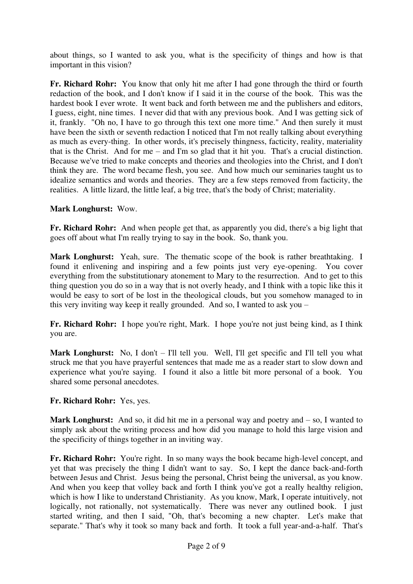about things, so I wanted to ask you, what is the specificity of things and how is that important in this vision?

**Fr. Richard Rohr:** You know that only hit me after I had gone through the third or fourth redaction of the book, and I don't know if I said it in the course of the book. This was the hardest book I ever wrote. It went back and forth between me and the publishers and editors, I guess, eight, nine times. I never did that with any previous book. And I was getting sick of it, frankly. "Oh no, I have to go through this text one more time." And then surely it must have been the sixth or seventh redaction I noticed that I'm not really talking about everything as much as every-thing. In other words, it's precisely thingness, facticity, reality, materiality that is the Christ. And for me – and I'm so glad that it hit you. That's a crucial distinction. Because we've tried to make concepts and theories and theologies into the Christ, and I don't think they are. The word became flesh, you see. And how much our seminaries taught us to idealize semantics and words and theories. They are a few steps removed from facticity, the realities. A little lizard, the little leaf, a big tree, that's the body of Christ; materiality.

## **Mark Longhurst:** Wow.

**Fr. Richard Rohr:** And when people get that, as apparently you did, there's a big light that goes off about what I'm really trying to say in the book. So, thank you.

**Mark Longhurst:** Yeah, sure. The thematic scope of the book is rather breathtaking. I found it enlivening and inspiring and a few points just very eye-opening. You cover everything from the substitutionary atonement to Mary to the resurrection. And to get to this thing question you do so in a way that is not overly heady, and I think with a topic like this it would be easy to sort of be lost in the theological clouds, but you somehow managed to in this very inviting way keep it really grounded. And so, I wanted to ask you –

Fr. Richard Rohr: I hope you're right, Mark. I hope you're not just being kind, as I think you are.

Mark Longhurst: No, I don't – I'll tell you. Well, I'll get specific and I'll tell you what struck me that you have prayerful sentences that made me as a reader start to slow down and experience what you're saying. I found it also a little bit more personal of a book. You shared some personal anecdotes.

## **Fr. Richard Rohr:** Yes, yes.

**Mark Longhurst:** And so, it did hit me in a personal way and poetry and – so, I wanted to simply ask about the writing process and how did you manage to hold this large vision and the specificity of things together in an inviting way.

Fr. Richard Rohr: You're right. In so many ways the book became high-level concept, and yet that was precisely the thing I didn't want to say. So, I kept the dance back-and-forth between Jesus and Christ. Jesus being the personal, Christ being the universal, as you know. And when you keep that volley back and forth I think you've got a really healthy religion, which is how I like to understand Christianity. As you know, Mark, I operate intuitively, not logically, not rationally, not systematically. There was never any outlined book. I just started writing, and then I said, "Oh, that's becoming a new chapter. Let's make that separate." That's why it took so many back and forth. It took a full year-and-a-half. That's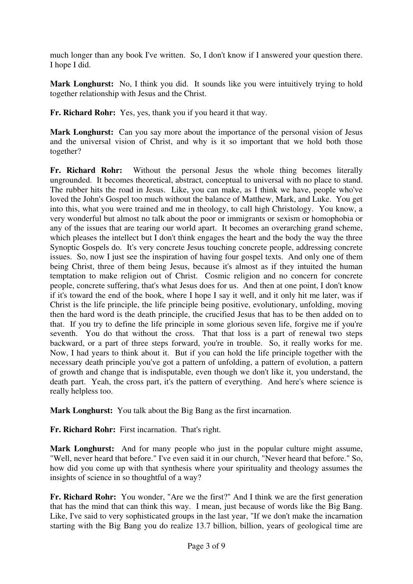much longer than any book I've written. So, I don't know if I answered your question there. I hope I did.

**Mark Longhurst:** No, I think you did. It sounds like you were intuitively trying to hold together relationship with Jesus and the Christ.

**Fr. Richard Rohr:** Yes, yes, thank you if you heard it that way.

**Mark Longhurst:** Can you say more about the importance of the personal vision of Jesus and the universal vision of Christ, and why is it so important that we hold both those together?

**Fr. Richard Rohr:** Without the personal Jesus the whole thing becomes literally ungrounded. It becomes theoretical, abstract, conceptual to universal with no place to stand. The rubber hits the road in Jesus. Like, you can make, as I think we have, people who've loved the John's Gospel too much without the balance of Matthew, Mark, and Luke. You get into this, what you were trained and me in theology, to call high Christology. You know, a very wonderful but almost no talk about the poor or immigrants or sexism or homophobia or any of the issues that are tearing our world apart. It becomes an overarching grand scheme, which pleases the intellect but I don't think engages the heart and the body the way the three Synoptic Gospels do. It's very concrete Jesus touching concrete people, addressing concrete issues. So, now I just see the inspiration of having four gospel texts. And only one of them being Christ, three of them being Jesus, because it's almost as if they intuited the human temptation to make religion out of Christ. Cosmic religion and no concern for concrete people, concrete suffering, that's what Jesus does for us. And then at one point, I don't know if it's toward the end of the book, where I hope I say it well, and it only hit me later, was if Christ is the life principle, the life principle being positive, evolutionary, unfolding, moving then the hard word is the death principle, the crucified Jesus that has to be then added on to that. If you try to define the life principle in some glorious seven life, forgive me if you're seventh. You do that without the cross. That that loss is a part of renewal two steps backward, or a part of three steps forward, you're in trouble. So, it really works for me. Now, I had years to think about it. But if you can hold the life principle together with the necessary death principle you've got a pattern of unfolding, a pattern of evolution, a pattern of growth and change that is indisputable, even though we don't like it, you understand, the death part. Yeah, the cross part, it's the pattern of everything. And here's where science is really helpless too.

**Mark Longhurst:** You talk about the Big Bang as the first incarnation.

**Fr. Richard Rohr:** First incarnation. That's right.

**Mark Longhurst:** And for many people who just in the popular culture might assume, "Well, never heard that before." I've even said it in our church, "Never heard that before." So, how did you come up with that synthesis where your spirituality and theology assumes the insights of science in so thoughtful of a way?

**Fr. Richard Rohr:** You wonder, "Are we the first?" And I think we are the first generation that has the mind that can think this way. I mean, just because of words like the Big Bang. Like, I've said to very sophisticated groups in the last year, "If we don't make the incarnation starting with the Big Bang you do realize 13.7 billion, billion, years of geological time are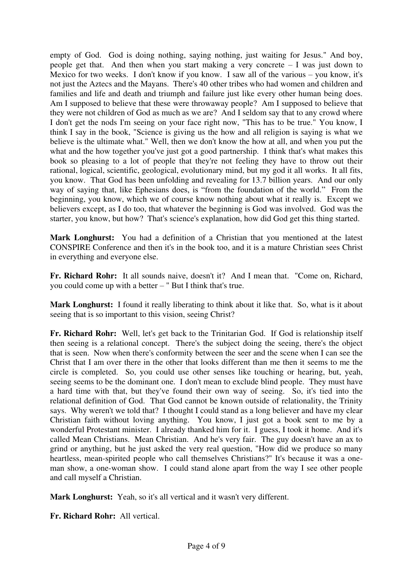empty of God. God is doing nothing, saying nothing, just waiting for Jesus." And boy, people get that. And then when you start making a very concrete – I was just down to Mexico for two weeks. I don't know if you know. I saw all of the various – you know, it's not just the Aztecs and the Mayans. There's 40 other tribes who had women and children and families and life and death and triumph and failure just like every other human being does. Am I supposed to believe that these were throwaway people? Am I supposed to believe that they were not children of God as much as we are? And I seldom say that to any crowd where I don't get the nods I'm seeing on your face right now, "This has to be true." You know, I think I say in the book, "Science is giving us the how and all religion is saying is what we believe is the ultimate what." Well, then we don't know the how at all, and when you put the what and the how together you've just got a good partnership. I think that's what makes this book so pleasing to a lot of people that they're not feeling they have to throw out their rational, logical, scientific, geological, evolutionary mind, but my god it all works. It all fits, you know. That God has been unfolding and revealing for 13.7 billion years. And our only way of saying that, like Ephesians does, is "from the foundation of the world." From the beginning, you know, which we of course know nothing about what it really is. Except we believers except, as I do too, that whatever the beginning is God was involved. God was the starter, you know, but how? That's science's explanation, how did God get this thing started.

**Mark Longhurst:** You had a definition of a Christian that you mentioned at the latest CONSPIRE Conference and then it's in the book too, and it is a mature Christian sees Christ in everything and everyone else.

**Fr. Richard Rohr:** It all sounds naive, doesn't it? And I mean that. "Come on, Richard, you could come up with a better – " But I think that's true.

**Mark Longhurst:** I found it really liberating to think about it like that. So, what is it about seeing that is so important to this vision, seeing Christ?

**Fr. Richard Rohr:** Well, let's get back to the Trinitarian God. If God is relationship itself then seeing is a relational concept. There's the subject doing the seeing, there's the object that is seen. Now when there's conformity between the seer and the scene when I can see the Christ that I am over there in the other that looks different than me then it seems to me the circle is completed. So, you could use other senses like touching or hearing, but, yeah, seeing seems to be the dominant one. I don't mean to exclude blind people. They must have a hard time with that, but they've found their own way of seeing. So, it's tied into the relational definition of God. That God cannot be known outside of relationality, the Trinity says. Why weren't we told that? I thought I could stand as a long believer and have my clear Christian faith without loving anything. You know, I just got a book sent to me by a wonderful Protestant minister. I already thanked him for it. I guess, I took it home. And it's called Mean Christians. Mean Christian. And he's very fair. The guy doesn't have an ax to grind or anything, but he just asked the very real question, "How did we produce so many heartless, mean-spirited people who call themselves Christians?" It's because it was a oneman show, a one-woman show. I could stand alone apart from the way I see other people and call myself a Christian.

**Mark Longhurst:** Yeah, so it's all vertical and it wasn't very different.

**Fr. Richard Rohr:** All vertical.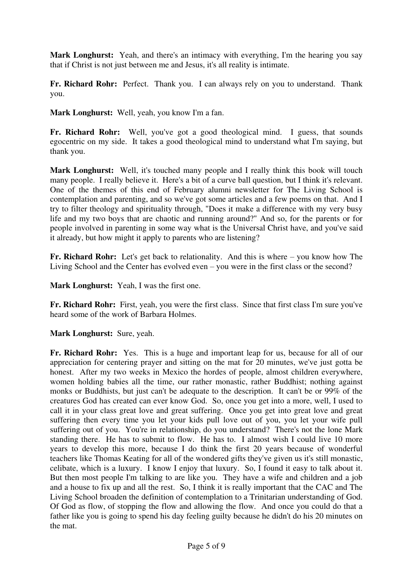**Mark Longhurst:** Yeah, and there's an intimacy with everything. I'm the hearing you say that if Christ is not just between me and Jesus, it's all reality is intimate.

**Fr. Richard Rohr:** Perfect. Thank you. I can always rely on you to understand. Thank you.

**Mark Longhurst:** Well, yeah, you know I'm a fan.

**Fr. Richard Rohr:** Well, you've got a good theological mind. I guess, that sounds egocentric on my side. It takes a good theological mind to understand what I'm saying, but thank you.

Mark Longhurst: Well, it's touched many people and I really think this book will touch many people. I really believe it. Here's a bit of a curve ball question, but I think it's relevant. One of the themes of this end of February alumni newsletter for The Living School is contemplation and parenting, and so we've got some articles and a few poems on that. And I try to filter theology and spirituality through, "Does it make a difference with my very busy life and my two boys that are chaotic and running around?" And so, for the parents or for people involved in parenting in some way what is the Universal Christ have, and you've said it already, but how might it apply to parents who are listening?

**Fr. Richard Rohr:** Let's get back to relationality. And this is where – you know how The Living School and the Center has evolved even – you were in the first class or the second?

**Mark Longhurst:** Yeah, I was the first one.

**Fr. Richard Rohr:** First, yeah, you were the first class. Since that first class I'm sure you've heard some of the work of Barbara Holmes.

**Mark Longhurst:** Sure, yeah.

**Fr. Richard Rohr:** Yes. This is a huge and important leap for us, because for all of our appreciation for centering prayer and sitting on the mat for 20 minutes, we've just gotta be honest. After my two weeks in Mexico the hordes of people, almost children everywhere, women holding babies all the time, our rather monastic, rather Buddhist; nothing against monks or Buddhists, but just can't be adequate to the description. It can't be or 99% of the creatures God has created can ever know God. So, once you get into a more, well, I used to call it in your class great love and great suffering. Once you get into great love and great suffering then every time you let your kids pull love out of you, you let your wife pull suffering out of you. You're in relationship, do you understand? There's not the lone Mark standing there. He has to submit to flow. He has to. I almost wish I could live 10 more years to develop this more, because I do think the first 20 years because of wonderful teachers like Thomas Keating for all of the wondered gifts they've given us it's still monastic, celibate, which is a luxury. I know I enjoy that luxury. So, I found it easy to talk about it. But then most people I'm talking to are like you. They have a wife and children and a job and a house to fix up and all the rest. So, I think it is really important that the CAC and The Living School broaden the definition of contemplation to a Trinitarian understanding of God. Of God as flow, of stopping the flow and allowing the flow. And once you could do that a father like you is going to spend his day feeling guilty because he didn't do his 20 minutes on the mat.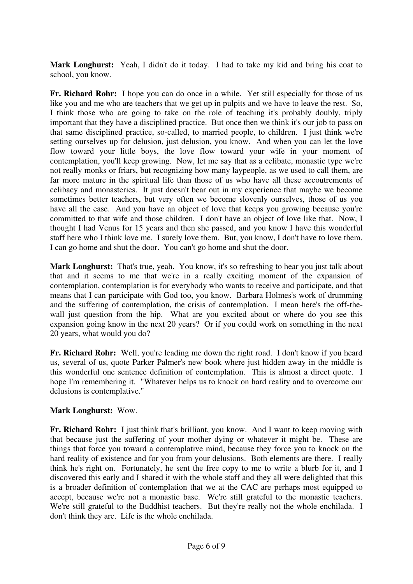Mark Longhurst: Yeah, I didn't do it today. I had to take my kid and bring his coat to school, you know.

**Fr. Richard Rohr:** I hope you can do once in a while. Yet still especially for those of us like you and me who are teachers that we get up in pulpits and we have to leave the rest. So, I think those who are going to take on the role of teaching it's probably doubly, triply important that they have a disciplined practice. But once then we think it's our job to pass on that same disciplined practice, so-called, to married people, to children. I just think we're setting ourselves up for delusion, just delusion, you know. And when you can let the love flow toward your little boys, the love flow toward your wife in your moment of contemplation, you'll keep growing. Now, let me say that as a celibate, monastic type we're not really monks or friars, but recognizing how many laypeople, as we used to call them, are far more mature in the spiritual life than those of us who have all these accoutrements of celibacy and monasteries. It just doesn't bear out in my experience that maybe we become sometimes better teachers, but very often we become slovenly ourselves, those of us you have all the ease. And you have an object of love that keeps you growing because you're committed to that wife and those children. I don't have an object of love like that. Now, I thought I had Venus for 15 years and then she passed, and you know I have this wonderful staff here who I think love me. I surely love them. But, you know, I don't have to love them. I can go home and shut the door. You can't go home and shut the door.

**Mark Longhurst:** That's true, yeah. You know, it's so refreshing to hear you just talk about that and it seems to me that we're in a really exciting moment of the expansion of contemplation, contemplation is for everybody who wants to receive and participate, and that means that I can participate with God too, you know. Barbara Holmes's work of drumming and the suffering of contemplation, the crisis of contemplation. I mean here's the off-thewall just question from the hip. What are you excited about or where do you see this expansion going know in the next 20 years? Or if you could work on something in the next 20 years, what would you do?

**Fr. Richard Rohr:** Well, you're leading me down the right road. I don't know if you heard us, several of us, quote Parker Palmer's new book where just hidden away in the middle is this wonderful one sentence definition of contemplation. This is almost a direct quote. I hope I'm remembering it. "Whatever helps us to knock on hard reality and to overcome our delusions is contemplative."

## **Mark Longhurst:** Wow.

**Fr. Richard Rohr:** I just think that's brilliant, you know. And I want to keep moving with that because just the suffering of your mother dying or whatever it might be. These are things that force you toward a contemplative mind, because they force you to knock on the hard reality of existence and for you from your delusions. Both elements are there. I really think he's right on. Fortunately, he sent the free copy to me to write a blurb for it, and I discovered this early and I shared it with the whole staff and they all were delighted that this is a broader definition of contemplation that we at the CAC are perhaps most equipped to accept, because we're not a monastic base. We're still grateful to the monastic teachers. We're still grateful to the Buddhist teachers. But they're really not the whole enchilada. I don't think they are. Life is the whole enchilada.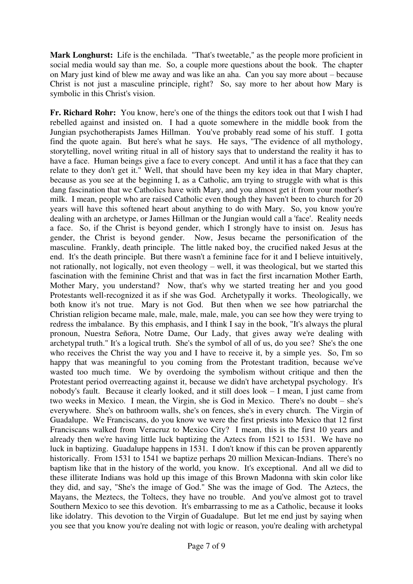Mark Longhurst: Life is the enchilada. "That's tweetable," as the people more proficient in social media would say than me. So, a couple more questions about the book. The chapter on Mary just kind of blew me away and was like an aha. Can you say more about – because Christ is not just a masculine principle, right? So, say more to her about how Mary is symbolic in this Christ's vision.

**Fr. Richard Rohr:** You know, here's one of the things the editors took out that I wish I had rebelled against and insisted on. I had a quote somewhere in the middle book from the Jungian psychotherapists James Hillman. You've probably read some of his stuff. I gotta find the quote again. But here's what he says. He says, "The evidence of all mythology, storytelling, novel writing ritual in all of history says that to understand the reality it has to have a face. Human beings give a face to every concept. And until it has a face that they can relate to they don't get it." Well, that should have been my key idea in that Mary chapter, because as you see at the beginning I, as a Catholic, am trying to struggle with what is this dang fascination that we Catholics have with Mary, and you almost get it from your mother's milk. I mean, people who are raised Catholic even though they haven't been to church for 20 years will have this softened heart about anything to do with Mary. So, you know you're dealing with an archetype, or James Hillman or the Jungian would call a 'face'. Reality needs a face. So, if the Christ is beyond gender, which I strongly have to insist on. Jesus has gender, the Christ is beyond gender. Now, Jesus became the personification of the masculine. Frankly, death principle. The little naked boy, the crucified naked Jesus at the end. It's the death principle. But there wasn't a feminine face for it and I believe intuitively, not rationally, not logically, not even theology – well, it was theological, but we started this fascination with the feminine Christ and that was in fact the first incarnation Mother Earth, Mother Mary, you understand? Now, that's why we started treating her and you good Protestants well-recognized it as if she was God. Archetypally it works. Theologically, we both know it's not true. Mary is not God. But then when we see how patriarchal the Christian religion became male, male, male, male, male, you can see how they were trying to redress the imbalance. By this emphasis, and I think I say in the book, "It's always the plural pronoun, Nuestra Señora, Notre Dame, Our Lady, that gives away we're dealing with archetypal truth." It's a logical truth. She's the symbol of all of us, do you see? She's the one who receives the Christ the way you and I have to receive it, by a simple yes. So, I'm so happy that was meaningful to you coming from the Protestant tradition, because we've wasted too much time. We by overdoing the symbolism without critique and then the Protestant period overreacting against it, because we didn't have archetypal psychology. It's nobody's fault. Because it clearly looked, and it still does look – I mean, I just came from two weeks in Mexico. I mean, the Virgin, she is God in Mexico. There's no doubt – she's everywhere. She's on bathroom walls, she's on fences, she's in every church. The Virgin of Guadalupe. We Franciscans, do you know we were the first priests into Mexico that 12 first Franciscans walked from Veracruz to Mexico City? I mean, this is the first 10 years and already then we're having little luck baptizing the Aztecs from 1521 to 1531. We have no luck in baptizing. Guadalupe happens in 1531. I don't know if this can be proven apparently historically. From 1531 to 1541 we baptize perhaps 20 million Mexican-Indians. There's no baptism like that in the history of the world, you know. It's exceptional. And all we did to these illiterate Indians was hold up this image of this Brown Madonna with skin color like they did, and say, "She's the image of God." She was the image of God. The Aztecs, the Mayans, the Meztecs, the Toltecs, they have no trouble. And you've almost got to travel Southern Mexico to see this devotion. It's embarrassing to me as a Catholic, because it looks like idolatry. This devotion to the Virgin of Guadalupe. But let me end just by saying when you see that you know you're dealing not with logic or reason, you're dealing with archetypal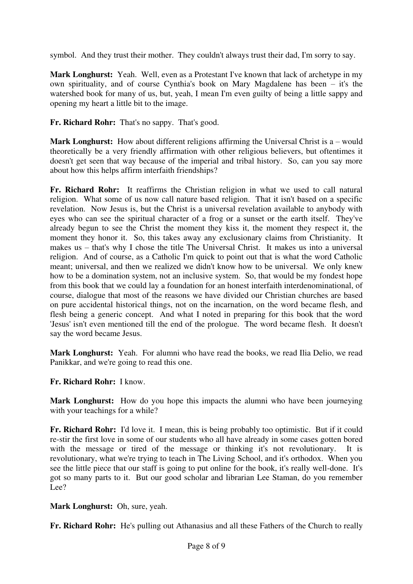symbol. And they trust their mother. They couldn't always trust their dad, I'm sorry to say.

**Mark Longhurst:** Yeah. Well, even as a Protestant I've known that lack of archetype in my own spirituality, and of course Cynthia's book on Mary Magdalene has been – it's the watershed book for many of us, but, yeah, I mean I'm even guilty of being a little sappy and opening my heart a little bit to the image.

**Fr. Richard Rohr:** That's no sappy. That's good.

**Mark Longhurst:** How about different religions affirming the Universal Christ is a – would theoretically be a very friendly affirmation with other religious believers, but oftentimes it doesn't get seen that way because of the imperial and tribal history. So, can you say more about how this helps affirm interfaith friendships?

**Fr. Richard Rohr:** It reaffirms the Christian religion in what we used to call natural religion. What some of us now call nature based religion. That it isn't based on a specific revelation. Now Jesus is, but the Christ is a universal revelation available to anybody with eyes who can see the spiritual character of a frog or a sunset or the earth itself. They've already begun to see the Christ the moment they kiss it, the moment they respect it, the moment they honor it. So, this takes away any exclusionary claims from Christianity. It makes us – that's why I chose the title The Universal Christ. It makes us into a universal religion. And of course, as a Catholic I'm quick to point out that is what the word Catholic meant; universal, and then we realized we didn't know how to be universal. We only knew how to be a domination system, not an inclusive system. So, that would be my fondest hope from this book that we could lay a foundation for an honest interfaith interdenominational, of course, dialogue that most of the reasons we have divided our Christian churches are based on pure accidental historical things, not on the incarnation, on the word became flesh, and flesh being a generic concept. And what I noted in preparing for this book that the word 'Jesus' isn't even mentioned till the end of the prologue. The word became flesh. It doesn't say the word became Jesus.

**Mark Longhurst:** Yeah. For alumni who have read the books, we read Ilia Delio, we read Panikkar, and we're going to read this one.

## **Fr. Richard Rohr:** I know.

**Mark Longhurst:** How do you hope this impacts the alumni who have been journeying with your teachings for a while?

**Fr. Richard Rohr:** I'd love it. I mean, this is being probably too optimistic. But if it could re-stir the first love in some of our students who all have already in some cases gotten bored with the message or tired of the message or thinking it's not revolutionary. It is revolutionary, what we're trying to teach in The Living School, and it's orthodox. When you see the little piece that our staff is going to put online for the book, it's really well-done. It's got so many parts to it. But our good scholar and librarian Lee Staman, do you remember Lee?

**Mark Longhurst:** Oh, sure, yeah.

**Fr. Richard Rohr:** He's pulling out Athanasius and all these Fathers of the Church to really